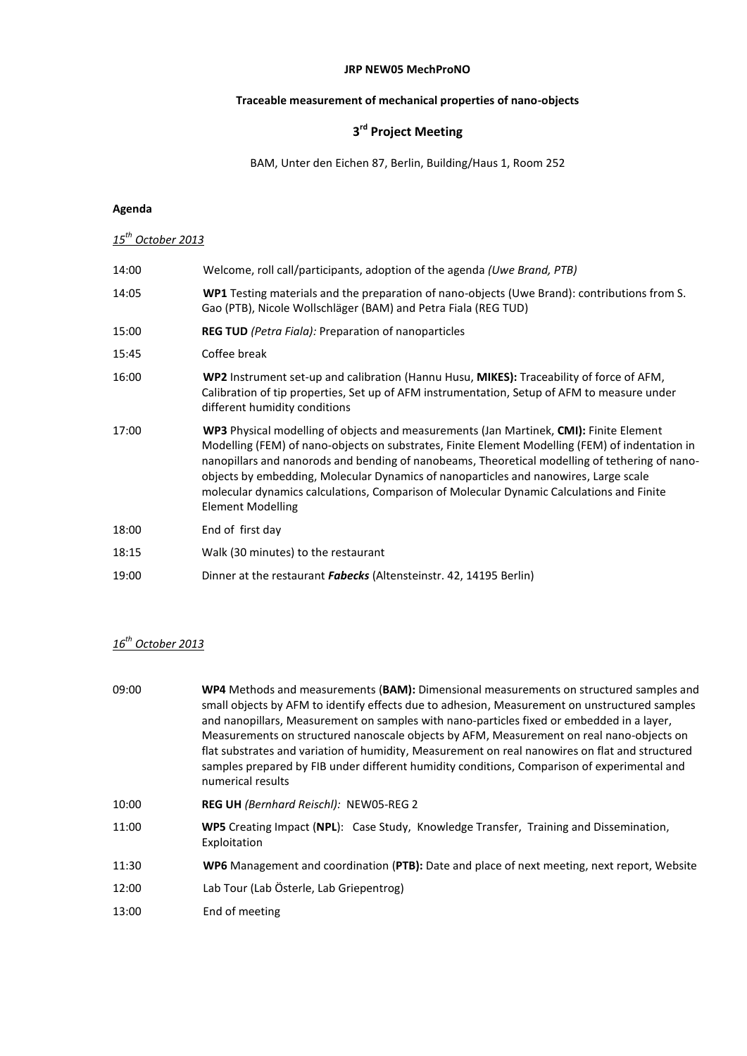#### **JRP NEW05 MechProNO**

# **Traceable measurement of mechanical properties of nano-objects**

## **3 rd Project Meeting**

BAM, Unter den Eichen 87, Berlin, Building/Haus 1, Room 252

### **Agenda**

# *15th October 2013*

| 14:00 | Welcome, roll call/participants, adoption of the agenda (Uwe Brand, PTB)                                                                                                                                                                                                                                                                                                                                                                                                                                    |
|-------|-------------------------------------------------------------------------------------------------------------------------------------------------------------------------------------------------------------------------------------------------------------------------------------------------------------------------------------------------------------------------------------------------------------------------------------------------------------------------------------------------------------|
| 14:05 | WP1 Testing materials and the preparation of nano-objects (Uwe Brand): contributions from S.<br>Gao (PTB), Nicole Wollschläger (BAM) and Petra Fiala (REG TUD)                                                                                                                                                                                                                                                                                                                                              |
| 15:00 | <b>REG TUD</b> (Petra Fiala): Preparation of nanoparticles                                                                                                                                                                                                                                                                                                                                                                                                                                                  |
| 15:45 | Coffee break                                                                                                                                                                                                                                                                                                                                                                                                                                                                                                |
| 16:00 | WP2 Instrument set-up and calibration (Hannu Husu, MIKES): Traceability of force of AFM,<br>Calibration of tip properties, Set up of AFM instrumentation, Setup of AFM to measure under<br>different humidity conditions                                                                                                                                                                                                                                                                                    |
| 17:00 | WP3 Physical modelling of objects and measurements (Jan Martinek, CMI): Finite Element<br>Modelling (FEM) of nano-objects on substrates, Finite Element Modelling (FEM) of indentation in<br>nanopillars and nanorods and bending of nanobeams, Theoretical modelling of tethering of nano-<br>objects by embedding, Molecular Dynamics of nanoparticles and nanowires, Large scale<br>molecular dynamics calculations, Comparison of Molecular Dynamic Calculations and Finite<br><b>Element Modelling</b> |
| 18:00 | End of first day                                                                                                                                                                                                                                                                                                                                                                                                                                                                                            |
| 18:15 | Walk (30 minutes) to the restaurant                                                                                                                                                                                                                                                                                                                                                                                                                                                                         |
| 19:00 | Dinner at the restaurant <b>Fabecks</b> (Altensteinstr. 42, 14195 Berlin)                                                                                                                                                                                                                                                                                                                                                                                                                                   |
|       |                                                                                                                                                                                                                                                                                                                                                                                                                                                                                                             |

#### *16 th October 2013*

| 09:00 | WP4 Methods and measurements (BAM): Dimensional measurements on structured samples and<br>small objects by AFM to identify effects due to adhesion, Measurement on unstructured samples<br>and nanopillars, Measurement on samples with nano-particles fixed or embedded in a layer,<br>Measurements on structured nanoscale objects by AFM, Measurement on real nano-objects on<br>flat substrates and variation of humidity, Measurement on real nanowires on flat and structured<br>samples prepared by FIB under different humidity conditions, Comparison of experimental and<br>numerical results |
|-------|---------------------------------------------------------------------------------------------------------------------------------------------------------------------------------------------------------------------------------------------------------------------------------------------------------------------------------------------------------------------------------------------------------------------------------------------------------------------------------------------------------------------------------------------------------------------------------------------------------|
| 10:00 | <b>REG UH</b> (Bernhard Reischl): NEW05-REG 2                                                                                                                                                                                                                                                                                                                                                                                                                                                                                                                                                           |
| 11:00 | WP5 Creating Impact (NPL): Case Study, Knowledge Transfer, Training and Dissemination,<br>Exploitation                                                                                                                                                                                                                                                                                                                                                                                                                                                                                                  |
| 11:30 | WP6 Management and coordination (PTB): Date and place of next meeting, next report, Website                                                                                                                                                                                                                                                                                                                                                                                                                                                                                                             |
| 12:00 | Lab Tour (Lab Österle, Lab Griepentrog)                                                                                                                                                                                                                                                                                                                                                                                                                                                                                                                                                                 |
| 13:00 | End of meeting                                                                                                                                                                                                                                                                                                                                                                                                                                                                                                                                                                                          |